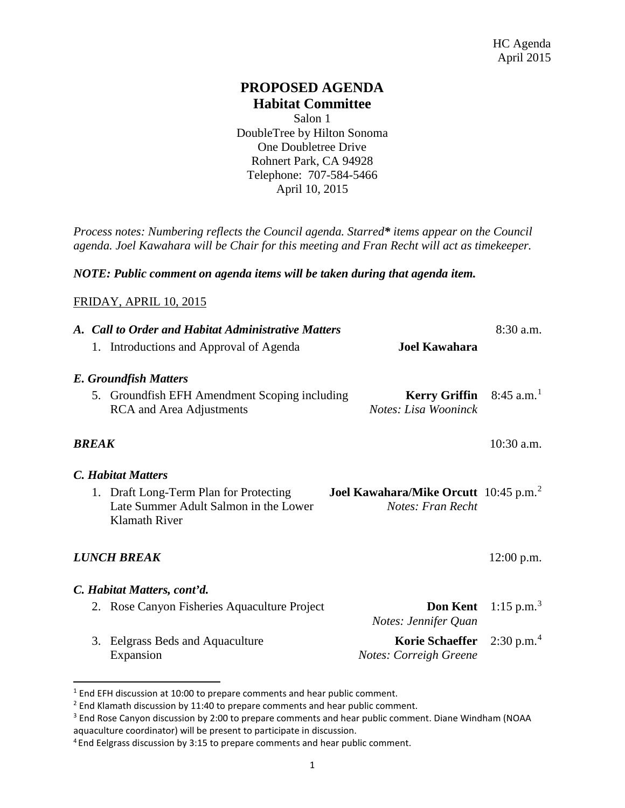# **PROPOSED AGENDA Habitat Committee**

Salon 1 [DoubleTree](http://doubletree3.hilton.com/en/hotels/california/doubletree-by-hilton-hotel-sonoma-wine-country-RLSC-DT/index.html) by Hilton Sonoma One Doubletree Drive Rohnert Park, CA 94928 Telephone: 707-584-5466 April 10, 2015

*Process notes: Numbering reflects the Council agenda. Starred\* items appear on the Council agenda. Joel Kawahara will be Chair for this meeting and Fran Recht will act as timekeeper.* 

### *NOTE: Public comment on agenda items will be taken during that agenda item.*

#### FRIDAY, APRIL 10, 2015

 $\overline{a}$ 

|                    | A. Call to Order and Habitat Administrative Matters |                                                                                                         |                                                                               | $8:30$ a.m.              |
|--------------------|-----------------------------------------------------|---------------------------------------------------------------------------------------------------------|-------------------------------------------------------------------------------|--------------------------|
|                    |                                                     | 1. Introductions and Approval of Agenda                                                                 | <b>Joel Kawahara</b>                                                          |                          |
|                    |                                                     | <b>E. Groundfish Matters</b>                                                                            |                                                                               |                          |
|                    |                                                     | 5. Groundfish EFH Amendment Scoping including<br><b>RCA</b> and Area Adjustments                        | <b>Kerry Griffin</b> $8:45$ a.m. <sup>1</sup><br>Notes: Lisa Wooninck         |                          |
|                    | <b>BREAK</b>                                        |                                                                                                         |                                                                               | $10:30$ a.m.             |
|                    |                                                     | <b>C.</b> Habitat Matters                                                                               |                                                                               |                          |
|                    |                                                     | 1. Draft Long-Term Plan for Protecting<br>Late Summer Adult Salmon in the Lower<br><b>Klamath River</b> | <b>Joel Kawahara/Mike Orcutt</b> 10:45 p.m. <sup>2</sup><br>Notes: Fran Recht |                          |
| <b>LUNCH BREAK</b> |                                                     |                                                                                                         |                                                                               | $12:00$ p.m.             |
|                    |                                                     | C. Habitat Matters, cont'd.                                                                             |                                                                               |                          |
|                    |                                                     | 2. Rose Canyon Fisheries Aquaculture Project                                                            | <b>Don Kent</b><br>Notes: Jennifer Quan                                       | 1:15 p.m. <sup>3</sup>   |
|                    |                                                     | 3. Eelgrass Beds and Aquaculture<br>Expansion                                                           | <b>Korie Schaeffer</b><br>Notes: Correigh Greene                              | $2:30$ p.m. <sup>4</sup> |

<span id="page-0-0"></span> $<sup>1</sup>$  End EFH discussion at 10:00 to prepare comments and hear public comment.</sup>

<span id="page-0-1"></span><sup>&</sup>lt;sup>2</sup> End Klamath discussion by 11:40 to prepare comments and hear public comment.

<span id="page-0-2"></span><sup>&</sup>lt;sup>3</sup> End Rose Canyon discussion by 2:00 to prepare comments and hear public comment. Diane Windham (NOAA aquaculture coordinator) will be present to participate in discussion.

<span id="page-0-3"></span><sup>&</sup>lt;sup>4</sup> End Eelgrass discussion by 3:15 to prepare comments and hear public comment.